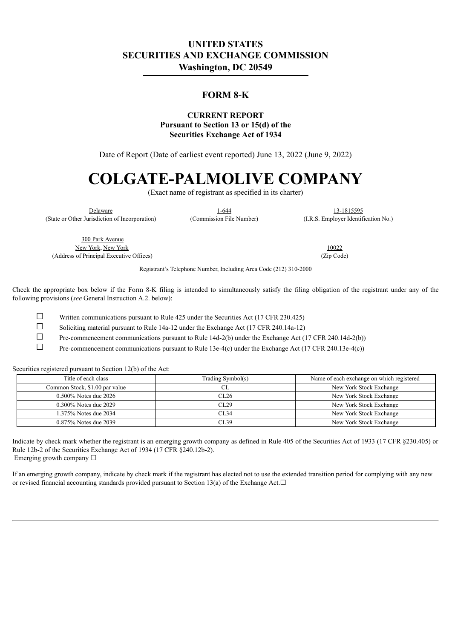# **UNITED STATES SECURITIES AND EXCHANGE COMMISSION Washington, DC 20549**

## **FORM 8-K**

#### **CURRENT REPORT Pursuant to Section 13 or 15(d) of the Securities Exchange Act of 1934**

Date of Report (Date of earliest event reported) June 13, 2022 (June 9, 2022)

# **COLGATE-PALMOLIVE COMPANY**

(Exact name of registrant as specified in its charter)

Delaware 1-644 13-1815595

(State or Other Jurisdiction of Incorporation) (Commission File Number) (I.R.S. Employer Identification No.)

300 Park Avenue New York, New York 10022 (Address of Principal Executive Offices) (Zip Code)

Registrant's Telephone Number, Including Area Code (212) 310-2000

Check the appropriate box below if the Form 8-K filing is intended to simultaneously satisfy the filing obligation of the registrant under any of the following provisions (*see* General Instruction A.2. below):

 $\Box$  Written communications pursuant to Rule 425 under the Securities Act (17 CFR 230.425)

☐ Soliciting material pursuant to Rule 14a-12 under the Exchange Act (17 CFR 240.14a-12)

 $\Box$  Pre-commencement communications pursuant to Rule 14d-2(b) under the Exchange Act (17 CFR 240.14d-2(b))

☐ Pre-commencement communications pursuant to Rule 13e-4(c) under the Exchange Act (17 CFR 240.13e-4(c))

Securities registered pursuant to Section 12(b) of the Act:

| Title of each class            | Trading Symbol(s) | Name of each exchange on which registered |
|--------------------------------|-------------------|-------------------------------------------|
| Common Stock, \$1.00 par value |                   | New York Stock Exchange                   |
| $0.500\%$ Notes due 2026       | CL26              | New York Stock Exchange                   |
| 0.300% Notes due 2029          | CL29              | New York Stock Exchange                   |
| 1.375% Notes due 2034          | CL34              | New York Stock Exchange                   |
| 0.875% Notes due 2039          | CL39              | New York Stock Exchange                   |

Indicate by check mark whether the registrant is an emerging growth company as defined in Rule 405 of the Securities Act of 1933 (17 CFR §230.405) or Rule 12b-2 of the Securities Exchange Act of 1934 (17 CFR §240.12b-2). Emerging growth company  $\Box$ 

If an emerging growth company, indicate by check mark if the registrant has elected not to use the extended transition period for complying with any new or revised financial accounting standards provided pursuant to Section 13(a) of the Exchange Act. $□$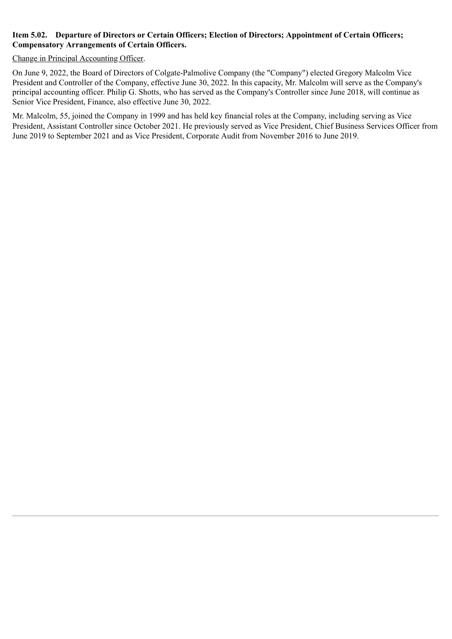#### **Item 5.02. Departure of Directors or Certain Officers; Election of Directors; Appointment of Certain Officers; Compensatory Arrangements of Certain Officers.**

#### Change in Principal Accounting Officer.

On June 9, 2022, the Board of Directors of Colgate-Palmolive Company (the "Company") elected Gregory Malcolm Vice President and Controller of the Company, effective June 30, 2022. In this capacity, Mr. Malcolm will serve as the Company's principal accounting officer. Philip G. Shotts, who has served as the Company's Controller since June 2018, will continue as Senior Vice President, Finance, also effective June 30, 2022.

Mr. Malcolm, 55, joined the Company in 1999 and has held key financial roles at the Company, including serving as Vice President, Assistant Controller since October 2021. He previously served as Vice President, Chief Business Services Officer from June 2019 to September 2021 and as Vice President, Corporate Audit from November 2016 to June 2019.